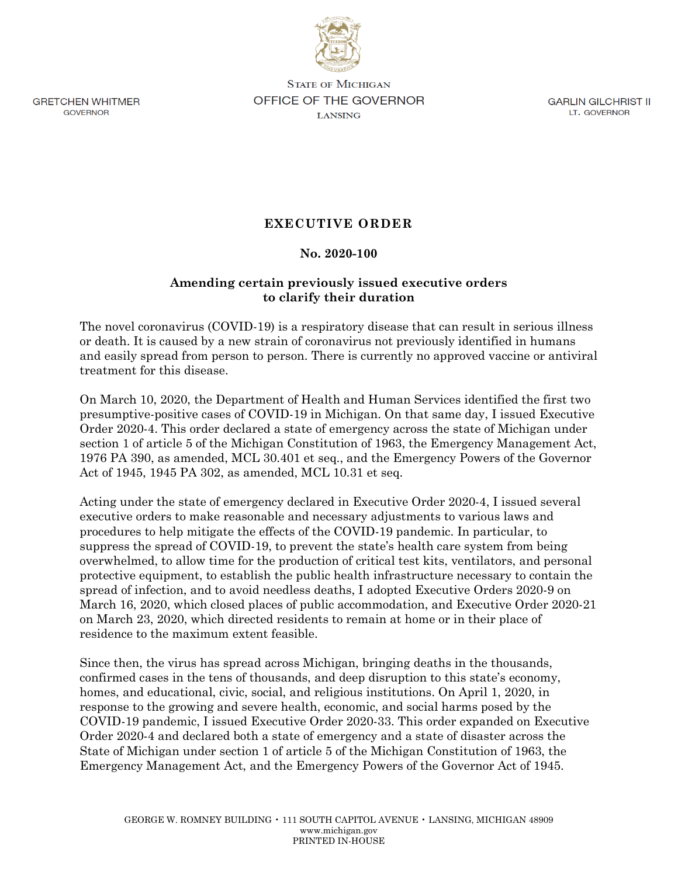**GRETCHEN WHITMER** GOVERNOR

**STATE OF MICHIGAN OFFICE OF THE GOVERNOR LANSING** 

GARLIN GILCHRIST II LT. GOVERNOR

## **EXECUTIVE ORDER**

## **No. 2020-100**

## **Amending certain previously issued executive orders to clarify their duration**

The novel coronavirus (COVID-19) is a respiratory disease that can result in serious illness or death. It is caused by a new strain of coronavirus not previously identified in humans and easily spread from person to person. There is currently no approved vaccine or antiviral treatment for this disease.

On March 10, 2020, the Department of Health and Human Services identified the first two presumptive-positive cases of COVID-19 in Michigan. On that same day, I issued Executive Order 2020-4. This order declared a state of emergency across the state of Michigan under section 1 of article 5 of the Michigan Constitution of 1963, the Emergency Management Act, 1976 PA 390, as amended, MCL 30.401 et seq., and the Emergency Powers of the Governor Act of 1945, 1945 PA 302, as amended, MCL 10.31 et seq.

Acting under the state of emergency declared in Executive Order 2020-4, I issued several executive orders to make reasonable and necessary adjustments to various laws and procedures to help mitigate the effects of the COVID-19 pandemic. In particular, to suppress the spread of COVID-19, to prevent the state's health care system from being overwhelmed, to allow time for the production of critical test kits, ventilators, and personal protective equipment, to establish the public health infrastructure necessary to contain the spread of infection, and to avoid needless deaths, I adopted Executive Orders 2020-9 on March 16, 2020, which closed places of public accommodation, and Executive Order 2020-21 on March 23, 2020, which directed residents to remain at home or in their place of residence to the maximum extent feasible.

Since then, the virus has spread across Michigan, bringing deaths in the thousands, confirmed cases in the tens of thousands, and deep disruption to this state's economy, homes, and educational, civic, social, and religious institutions. On April 1, 2020, in response to the growing and severe health, economic, and social harms posed by the COVID-19 pandemic, I issued Executive Order 2020-33. This order expanded on Executive Order 2020-4 and declared both a state of emergency and a state of disaster across the State of Michigan under section 1 of article 5 of the Michigan Constitution of 1963, the Emergency Management Act, and the Emergency Powers of the Governor Act of 1945.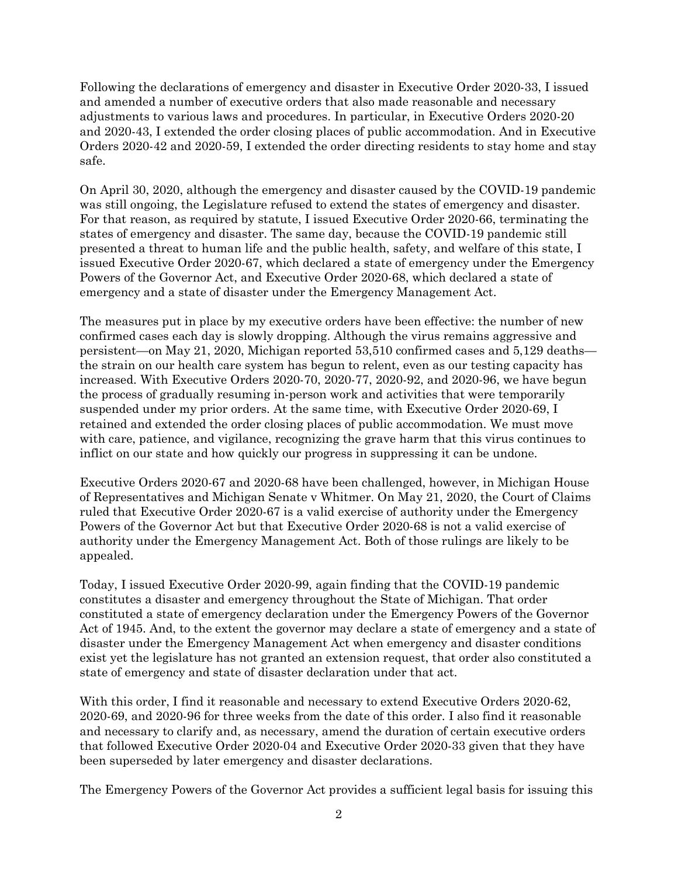Following the declarations of emergency and disaster in Executive Order 2020-33, I issued and amended a number of executive orders that also made reasonable and necessary adjustments to various laws and procedures. In particular, in Executive Orders 2020-20 and 2020-43, I extended the order closing places of public accommodation. And in Executive Orders 2020-42 and 2020-59, I extended the order directing residents to stay home and stay safe.

On April 30, 2020, although the emergency and disaster caused by the COVID-19 pandemic was still ongoing, the Legislature refused to extend the states of emergency and disaster. For that reason, as required by statute, I issued Executive Order 2020-66, terminating the states of emergency and disaster. The same day, because the COVID-19 pandemic still presented a threat to human life and the public health, safety, and welfare of this state, I issued Executive Order 2020-67, which declared a state of emergency under the Emergency Powers of the Governor Act, and Executive Order 2020-68, which declared a state of emergency and a state of disaster under the Emergency Management Act.

The measures put in place by my executive orders have been effective: the number of new confirmed cases each day is slowly dropping. Although the virus remains aggressive and persistent—on May 21, 2020, Michigan reported 53,510 confirmed cases and 5,129 deaths the strain on our health care system has begun to relent, even as our testing capacity has increased. With Executive Orders 2020-70, 2020-77, 2020-92, and 2020-96, we have begun the process of gradually resuming in-person work and activities that were temporarily suspended under my prior orders. At the same time, with Executive Order 2020-69, I retained and extended the order closing places of public accommodation. We must move with care, patience, and vigilance, recognizing the grave harm that this virus continues to inflict on our state and how quickly our progress in suppressing it can be undone.

Executive Orders 2020-67 and 2020-68 have been challenged, however, in Michigan House of Representatives and Michigan Senate v Whitmer. On May 21, 2020, the Court of Claims ruled that Executive Order 2020-67 is a valid exercise of authority under the Emergency Powers of the Governor Act but that Executive Order 2020-68 is not a valid exercise of authority under the Emergency Management Act. Both of those rulings are likely to be appealed.

Today, I issued Executive Order 2020-99, again finding that the COVID-19 pandemic constitutes a disaster and emergency throughout the State of Michigan. That order constituted a state of emergency declaration under the Emergency Powers of the Governor Act of 1945. And, to the extent the governor may declare a state of emergency and a state of disaster under the Emergency Management Act when emergency and disaster conditions exist yet the legislature has not granted an extension request, that order also constituted a state of emergency and state of disaster declaration under that act.

With this order, I find it reasonable and necessary to extend Executive Orders 2020-62, 2020-69, and 2020-96 for three weeks from the date of this order. I also find it reasonable and necessary to clarify and, as necessary, amend the duration of certain executive orders that followed Executive Order 2020-04 and Executive Order 2020-33 given that they have been superseded by later emergency and disaster declarations.

The Emergency Powers of the Governor Act provides a sufficient legal basis for issuing this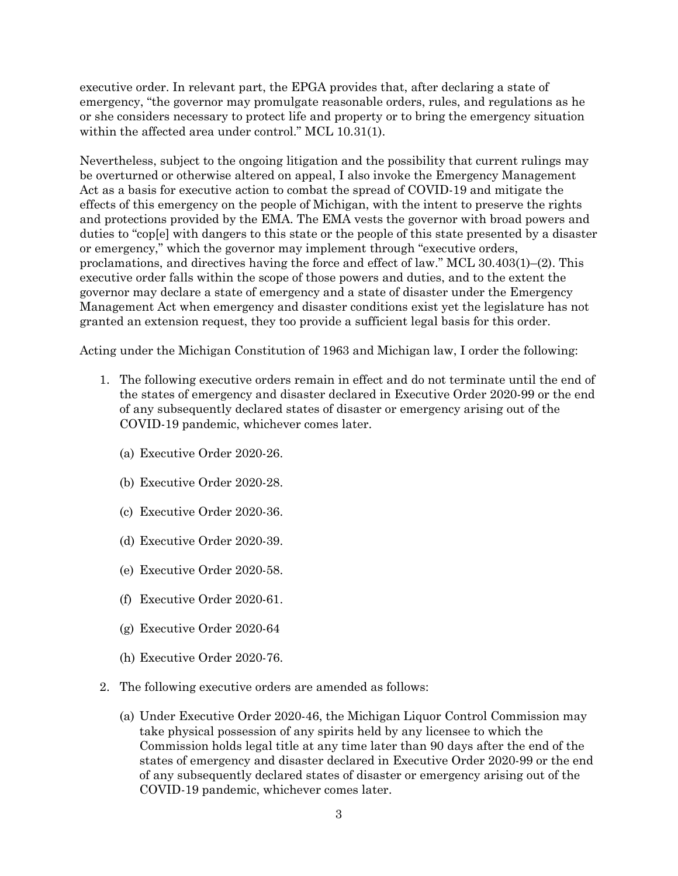executive order. In relevant part, the EPGA provides that, after declaring a state of emergency, "the governor may promulgate reasonable orders, rules, and regulations as he or she considers necessary to protect life and property or to bring the emergency situation within the affected area under control." MCL 10.31(1).

Nevertheless, subject to the ongoing litigation and the possibility that current rulings may be overturned or otherwise altered on appeal, I also invoke the Emergency Management Act as a basis for executive action to combat the spread of COVID-19 and mitigate the effects of this emergency on the people of Michigan, with the intent to preserve the rights and protections provided by the EMA. The EMA vests the governor with broad powers and duties to "cop[e] with dangers to this state or the people of this state presented by a disaster or emergency," which the governor may implement through "executive orders, proclamations, and directives having the force and effect of law." MCL 30.403(1)–(2). This executive order falls within the scope of those powers and duties, and to the extent the governor may declare a state of emergency and a state of disaster under the Emergency Management Act when emergency and disaster conditions exist yet the legislature has not granted an extension request, they too provide a sufficient legal basis for this order.

Acting under the Michigan Constitution of 1963 and Michigan law, I order the following:

- 1. The following executive orders remain in effect and do not terminate until the end of the states of emergency and disaster declared in Executive Order 2020-99 or the end of any subsequently declared states of disaster or emergency arising out of the COVID-19 pandemic, whichever comes later.
	- (a) Executive Order 2020-26.
	- (b) Executive Order 2020-28.
	- (c) Executive Order 2020-36.
	- (d) Executive Order 2020-39.
	- (e) Executive Order 2020-58.
	- (f) Executive Order 2020-61.
	- (g) Executive Order 2020-64
	- (h) Executive Order 2020-76.
- 2. The following executive orders are amended as follows:
	- (a) Under Executive Order 2020-46, the Michigan Liquor Control Commission may take physical possession of any spirits held by any licensee to which the Commission holds legal title at any time later than 90 days after the end of the states of emergency and disaster declared in Executive Order 2020-99 or the end of any subsequently declared states of disaster or emergency arising out of the COVID-19 pandemic, whichever comes later.